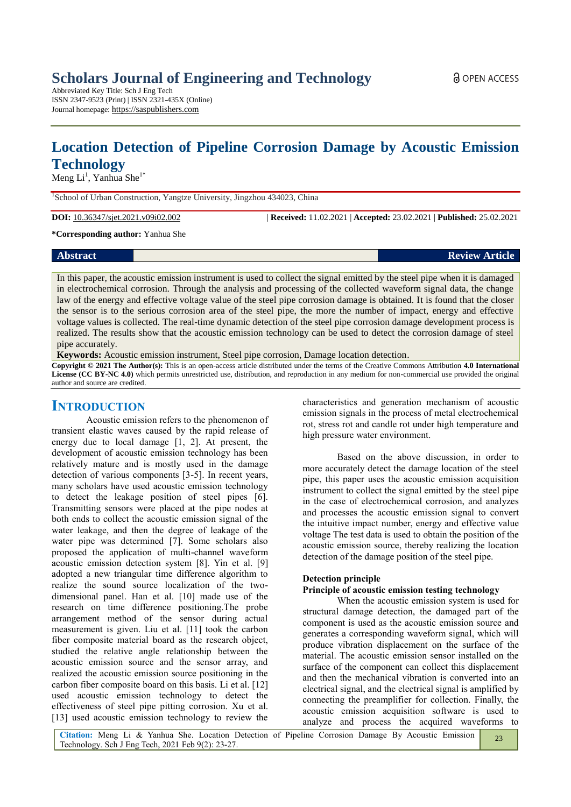# **Location Detection of Pipeline Corrosion Damage by Acoustic Emission Technology**

Meng  $Li<sup>1</sup>$ , Yanhua She<sup>1\*</sup>

<sup>1</sup>School of Urban Construction, Yangtze University, Jingzhou 434023, China

**DOI:** 10.36347/sjet.2021.v09i02.002 | **Received:** 11.02.2021 | **Accepted:** 23.02.2021 | **Published:** 25.02.2021

**\*Corresponding author:** Yanhua She

# **Abstract Review Article**

In this paper, the acoustic emission instrument is used to collect the signal emitted by the steel pipe when it is damaged in electrochemical corrosion. Through the analysis and processing of the collected waveform signal data, the change law of the energy and effective voltage value of the steel pipe corrosion damage is obtained. It is found that the closer the sensor is to the serious corrosion area of the steel pipe, the more the number of impact, energy and effective voltage values is collected. The real-time dynamic detection of the steel pipe corrosion damage development process is realized. The results show that the acoustic emission technology can be used to detect the corrosion damage of steel pipe accurately.

**Keywords:** Acoustic emission instrument, Steel pipe corrosion, Damage location detection.

**Copyright © 2021 The Author(s):** This is an open-access article distributed under the terms of the Creative Commons Attribution **4.0 International License (CC BY-NC 4.0)** which permits unrestricted use, distribution, and reproduction in any medium for non-commercial use provided the original author and source are credited.

# **INTRODUCTION**

Acoustic emission refers to the phenomenon of transient elastic waves caused by the rapid release of energy due to local damage [1, 2]. At present, the development of acoustic emission technology has been relatively mature and is mostly used in the damage detection of various components [3-5]. In recent years, many scholars have used acoustic emission technology to detect the leakage position of steel pipes [6]. Transmitting sensors were placed at the pipe nodes at both ends to collect the acoustic emission signal of the water leakage, and then the degree of leakage of the water pipe was determined [7]. Some scholars also proposed the application of multi-channel waveform acoustic emission detection system [8]. Yin et al. [9] adopted a new triangular time difference algorithm to realize the sound source localization of the twodimensional panel. Han et al. [10] made use of the research on time difference positioning.The probe arrangement method of the sensor during actual measurement is given. Liu et al. [11] took the carbon fiber composite material board as the research object, studied the relative angle relationship between the acoustic emission source and the sensor array, and realized the acoustic emission source positioning in the carbon fiber composite board on this basis. Li et al. [12] used acoustic emission technology to detect the effectiveness of steel pipe pitting corrosion. Xu et al. [13] used acoustic emission technology to review the

characteristics and generation mechanism of acoustic emission signals in the process of metal electrochemical rot, stress rot and candle rot under high temperature and high pressure water environment.

Based on the above discussion, in order to more accurately detect the damage location of the steel pipe, this paper uses the acoustic emission acquisition instrument to collect the signal emitted by the steel pipe in the case of electrochemical corrosion, and analyzes and processes the acoustic emission signal to convert the intuitive impact number, energy and effective value voltage The test data is used to obtain the position of the acoustic emission source, thereby realizing the location detection of the damage position of the steel pipe.

## **Detection principle**

# **Principle of acoustic emission testing technology**

When the acoustic emission system is used for structural damage detection, the damaged part of the component is used as the acoustic emission source and generates a corresponding waveform signal, which will produce vibration displacement on the surface of the material. The acoustic emission sensor installed on the surface of the component can collect this displacement and then the mechanical vibration is converted into an electrical signal, and the electrical signal is amplified by connecting the preamplifier for collection. Finally, the acoustic emission acquisition software is used to analyze and process the acquired waveforms to

 $23$ 

**Citation:** Meng Li & Yanhua She. Location Detection of Pipeline Corrosion Damage By Acoustic Emission Technology. Sch J Eng Tech, 2021 Feb 9(2): 23-27.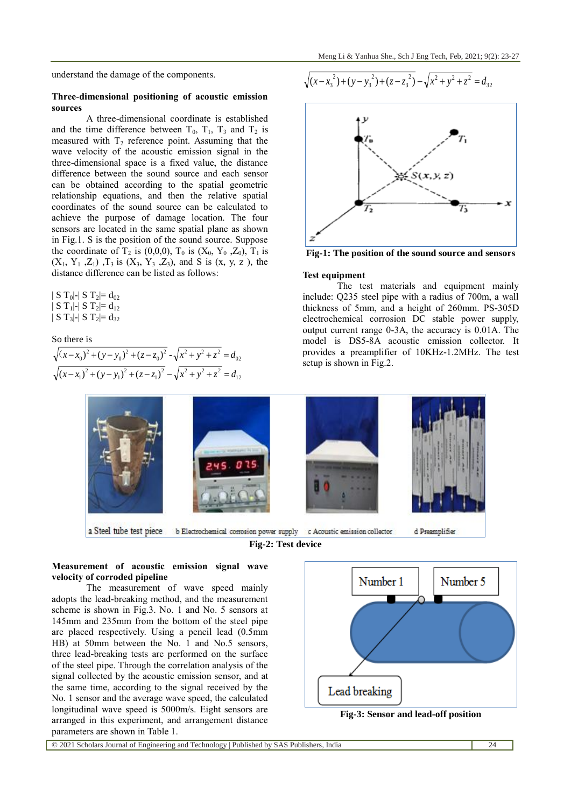understand the damage of the components.

#### **Three-dimensional positioning of acoustic emission sources**

A three-dimensional coordinate is established and the time difference between  $T_0$ ,  $T_1$ ,  $T_3$  and  $T_2$  is measured with  $T_2$  reference point. Assuming that the wave velocity of the acoustic emission signal in the three-dimensional space is a fixed value, the distance difference between the sound source and each sensor can be obtained according to the spatial geometric relationship equations, and then the relative spatial coordinates of the sound source can be calculated to achieve the purpose of damage location. The four sensors are located in the same spatial plane as shown in Fig.1. S is the position of the sound source. Suppose the coordinate of  $T_2$  is (0,0,0),  $T_0$  is ( $X_0$ ,  $Y_0$ ,  $Z_0$ ),  $T_1$  is  $(X_1, Y_1, Z_1)$ ,  $T_3$  is  $(X_3, Y_3, Z_3)$ , and S is  $(x, y, z)$ , the distance difference can be listed as follows:

 $| S T_0 |$ - $| S T_2 | = d_{02}$  $| S T_1 |$ - $| S T_2 |$ = d<sub>12</sub>  $| S T_3 |$ - $| S T_2 |$ = d<sub>32</sub>

So there is

$$
\sqrt{(x-x_0)^2 + (y-y_0)^2 + (z-z_0)^2} - \sqrt{x^2 + y^2 + z^2} = d_{02}
$$
  

$$
\sqrt{(x-x_1)^2 + (y-y_1)^2 + (z-z_1)^2} - \sqrt{x^2 + y^2 + z^2} = d_{12}
$$

$$
\sqrt{(x-x_3^2)+(y-y_3^2)+(z-z_3^2)}-\sqrt{x^2+y^2+z^2}=d_{32}
$$



**Fig-1: The position of the sound source and sensors**

#### **Test equipment**

The test materials and equipment mainly include: Q235 steel pipe with a radius of 700m, a wall thickness of 5mm, and a height of 260mm. PS-305D electrochemical corrosion DC stable power supply, output current range 0-3A, the accuracy is 0.01A. The model is DS5-8A acoustic emission collector. It provides a preamplifier of 10KHz-1.2MHz. The test setup is shown in Fig.2.



a Steel tube test piece **Fig-2: Test device**

### **Measurement of acoustic emission signal wave velocity of corroded pipeline**

The measurement of wave speed mainly adopts the lead-breaking method, and the measurement scheme is shown in Fig.3. No. 1 and No. 5 sensors at 145mm and 235mm from the bottom of the steel pipe are placed respectively. Using a pencil lead (0.5mm HB) at 50mm between the No. 1 and No.5 sensors, three lead-breaking tests are performed on the surface of the steel pipe. Through the correlation analysis of the signal collected by the acoustic emission sensor, and at the same time, according to the signal received by the No. 1 sensor and the average wave speed, the calculated longitudinal wave speed is 5000m/s. Eight sensors are arranged in this experiment, and arrangement distance parameters are shown in Table 1.





© 2021 Scholars Journal of Engineering and Technology | Published by SAS Publishers, India 24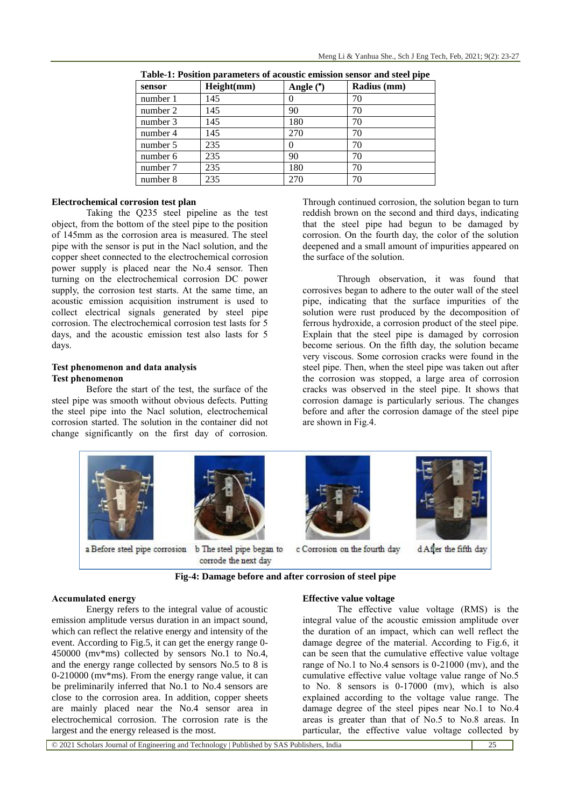| sensor   | Height(mm) | Angle $(*)$ | Radius (mm) |
|----------|------------|-------------|-------------|
| number 1 | 145        |             | 70          |
| number 2 | 145        | 90          | 70          |
| number 3 | 145        | 180         | 70          |
| number 4 | 145        | 270         | 70          |
| number 5 | 235        |             | 70          |
| number 6 | 235        | 90          | 70          |
| number 7 | 235        | 180         | 70          |
| number 8 | 235        | 270         | 70          |

**Table-1: Position parameters of acoustic emission sensor and steel pipe**

#### **Electrochemical corrosion test plan**

Taking the Q235 steel pipeline as the test object, from the bottom of the steel pipe to the position of 145mm as the corrosion area is measured. The steel pipe with the sensor is put in the Nacl solution, and the copper sheet connected to the electrochemical corrosion power supply is placed near the No.4 sensor. Then turning on the electrochemical corrosion DC power supply, the corrosion test starts. At the same time, an acoustic emission acquisition instrument is used to collect electrical signals generated by steel pipe corrosion. The electrochemical corrosion test lasts for 5 days, and the acoustic emission test also lasts for 5 days.

#### **Test phenomenon and data analysis Test phenomenon**

Before the start of the test, the surface of the steel pipe was smooth without obvious defects. Putting the steel pipe into the Nacl solution, electrochemical corrosion started. The solution in the container did not change significantly on the first day of corrosion.

Through continued corrosion, the solution began to turn reddish brown on the second and third days, indicating that the steel pipe had begun to be damaged by corrosion. On the fourth day, the color of the solution deepened and a small amount of impurities appeared on the surface of the solution.

Through observation, it was found that corrosives began to adhere to the outer wall of the steel pipe, indicating that the surface impurities of the solution were rust produced by the decomposition of ferrous hydroxide, a corrosion product of the steel pipe. Explain that the steel pipe is damaged by corrosion become serious. On the fifth day, the solution became very viscous. Some corrosion cracks were found in the steel pipe. Then, when the steel pipe was taken out after the corrosion was stopped, a large area of corrosion cracks was observed in the steel pipe. It shows that corrosion damage is particularly serious. The changes before and after the corrosion damage of the steel pipe are shown in Fig.4.



**Fig-4: Damage before and after corrosion of steel pipe**

#### **Accumulated energy**

Energy refers to the integral value of acoustic emission amplitude versus duration in an impact sound, which can reflect the relative energy and intensity of the event. According to Fig.5, it can get the energy range 0- 450000 (mv\*ms) collected by sensors No.1 to No.4, and the energy range collected by sensors No.5 to 8 is 0-210000 (mv\*ms). From the energy range value, it can be preliminarily inferred that No.1 to No.4 sensors are close to the corrosion area. In addition, copper sheets are mainly placed near the No.4 sensor area in electrochemical corrosion. The corrosion rate is the largest and the energy released is the most.

#### **Effective value voltage**

The effective value voltage (RMS) is the integral value of the acoustic emission amplitude over the duration of an impact, which can well reflect the damage degree of the material. According to Fig.6, it can be seen that the cumulative effective value voltage range of No.1 to No.4 sensors is 0-21000 (mv), and the cumulative effective value voltage value range of No.5 to No. 8 sensors is 0-17000 (mv), which is also explained according to the voltage value range. The damage degree of the steel pipes near No.1 to No.4 areas is greater than that of No.5 to No.8 areas. In particular, the effective value voltage collected by

© 2021 Scholars Journal of Engineering and Technology | Published by SAS Publishers, India 25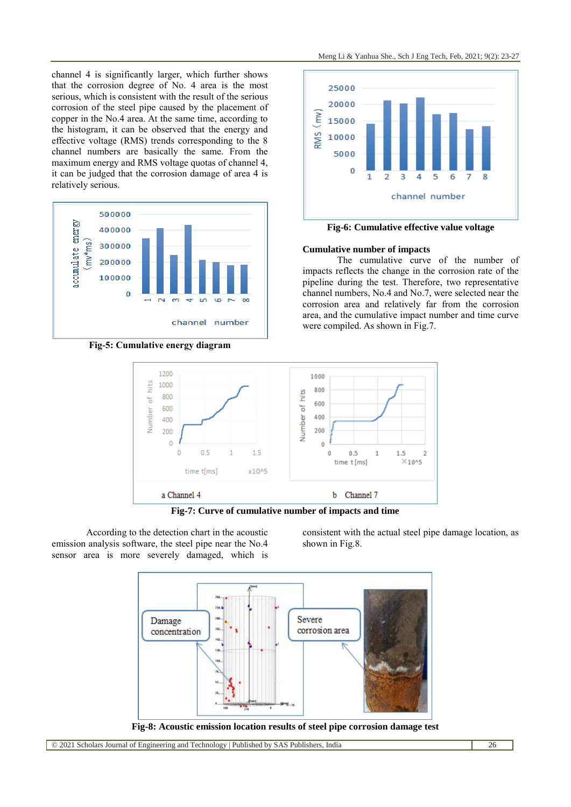channel 4 is significantly larger, which further shows that the corrosion degree of No. 4 area is the most serious, which is consistent with the result of the serious corrosion of the steel pipe caused by the placement of copper in the No.4 area. At the same time, according to the histogram, it can be observed that the energy and effective voltage (RMS) trends corresponding to the 8 channel numbers are basically the same. From the maximum energy and RMS voltage quotas of channel 4, it can be judged that the corrosion damage of area 4 is relatively serious.



**Fig-5: Cumulative energy diagram**



**Fig-6: Cumulative effective value voltage**

#### **Cumulative number of impacts**

The cumulative curve of the number of impacts reflects the change in the corrosion rate of the pipeline during the test. Therefore, two representative channel numbers, No.4 and No.7, were selected near the corrosion area and relatively far from the corrosion area, and the cumulative impact number and time curve were compiled. As shown in Fig.7.



**Fig-7: Curve of cumulative number of impacts and time**

According to the detection chart in the acoustic emission analysis software, the steel pipe near the No.4 sensor area is more severely damaged, which is

consistent with the actual steel pipe damage location, as shown in Fig.8.



**Fig-8: Acoustic emission location results of steel pipe corrosion damage test**